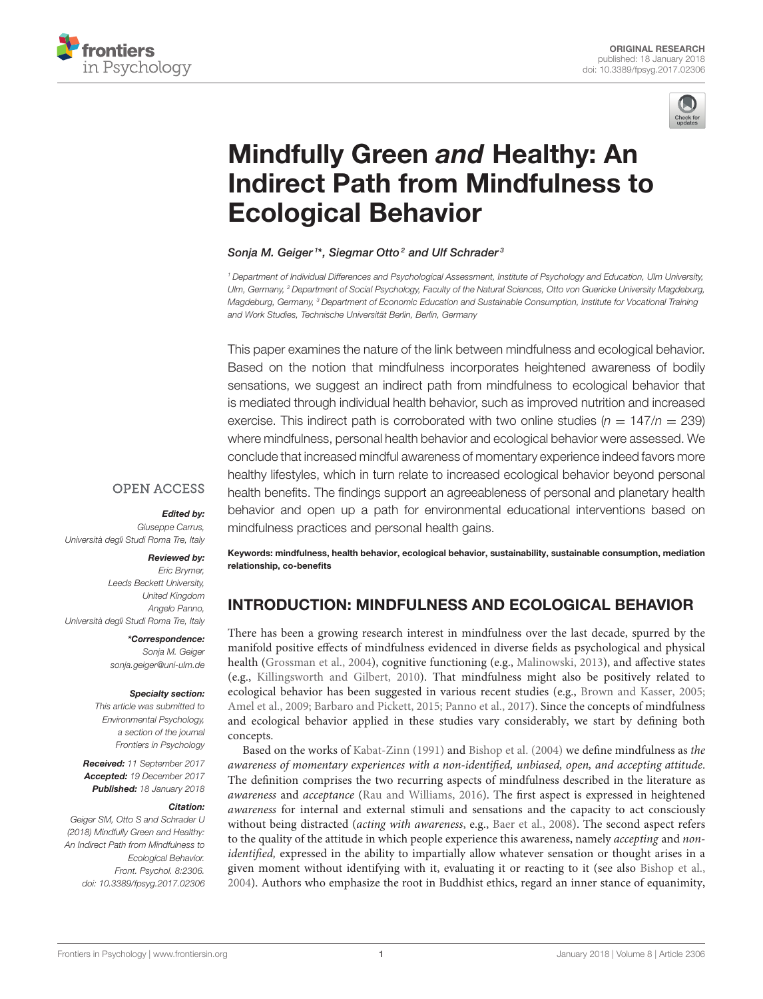



# Mindfully Green and Healthy: An [Indirect Path from Mindfulness to](https://www.frontiersin.org/articles/10.3389/fpsyg.2017.02306/full) Ecological Behavior

## [Sonja M. Geiger](http://loop.frontiersin.org/people/476069/overview)<sup>1\*</sup>, Siegmar Otto<sup>2</sup> and Ulf Schrader<sup>3</sup>

<sup>1</sup> Department of Individual Differences and Psychological Assessment, Institute of Psychology and Education, Ulm University, Ulm, Germany, <sup>2</sup> Department of Social Psychology, Faculty of the Natural Sciences, Otto von Guericke University Magdeburg, Magdeburg, Germany, <sup>3</sup> Department of Economic Education and Sustainable Consumption, Institute for Vocational Training and Work Studies, Technische Universität Berlin, Berlin, Germany

This paper examines the nature of the link between mindfulness and ecological behavior. Based on the notion that mindfulness incorporates heightened awareness of bodily sensations, we suggest an indirect path from mindfulness to ecological behavior that is mediated through individual health behavior, such as improved nutrition and increased exercise. This indirect path is corroborated with two online studies ( $n = 147/n = 239$ ) where mindfulness, personal health behavior and ecological behavior were assessed. We conclude that increased mindful awareness of momentary experience indeed favors more healthy lifestyles, which in turn relate to increased ecological behavior beyond personal health benefits. The findings support an agreeableness of personal and planetary health behavior and open up a path for environmental educational interventions based on mindfulness practices and personal health gains.

## **OPEN ACCESS**

#### Edited by:

Giuseppe Carrus, Università degli Studi Roma Tre, Italy

#### Reviewed by:

Eric Brymer, Leeds Beckett University, United Kingdom Angelo Panno, Università degli Studi Roma Tre, Italy

#### \*Correspondence:

Sonja M. Geiger [sonja.geiger@uni-ulm.de](mailto:sonja.geiger@uni-ulm.de)

#### Specialty section:

This article was submitted to Environmental Psychology, a section of the journal Frontiers in Psychology

Received: 11 September 2017 Accepted: 19 December 2017 Published: 18 January 2018

#### Citation:

Geiger SM, Otto S and Schrader U (2018) Mindfully Green and Healthy: An Indirect Path from Mindfulness to Ecological Behavior. Front. Psychol. 8:2306. doi: [10.3389/fpsyg.2017.02306](https://doi.org/10.3389/fpsyg.2017.02306)

Keywords: mindfulness, health behavior, ecological behavior, sustainability, sustainable consumption, mediation relationship, co-benefits

# INTRODUCTION: MINDFULNESS AND ECOLOGICAL BEHAVIOR

There has been a growing research interest in mindfulness over the last decade, spurred by the manifold positive effects of mindfulness evidenced in diverse fields as psychological and physical health [\(Grossman et al., 2004\)](#page-9-0), cognitive functioning (e.g., [Malinowski, 2013\)](#page-9-1), and affective states (e.g., [Killingsworth and Gilbert, 2010\)](#page-9-2). That mindfulness might also be positively related to ecological behavior has been suggested in various recent studies (e.g., [Brown and Kasser, 2005;](#page-8-0) [Amel et al., 2009;](#page-8-1) [Barbaro and Pickett, 2015;](#page-8-2) [Panno et al., 2017\)](#page-10-0). Since the concepts of mindfulness and ecological behavior applied in these studies vary considerably, we start by defining both concepts.

Based on the works of [Kabat-Zinn \(1991\)](#page-9-3) and [Bishop et al. \(2004\)](#page-8-3) we define mindfulness as the awareness of momentary experiences with a non-identified, unbiased, open, and accepting attitude. The definition comprises the two recurring aspects of mindfulness described in the literature as awareness and acceptance [\(Rau and Williams, 2016\)](#page-10-1). The first aspect is expressed in heightened awareness for internal and external stimuli and sensations and the capacity to act consciously without being distracted (acting with awareness, e.g., [Baer et al., 2008\)](#page-8-4). The second aspect refers to the quality of the attitude in which people experience this awareness, namely *accepting* and *non*identified, expressed in the ability to impartially allow whatever sensation or thought arises in a given moment without identifying with it, evaluating it or reacting to it (see also [Bishop et al.,](#page-8-3) [2004\)](#page-8-3). Authors who emphasize the root in Buddhist ethics, regard an inner stance of equanimity,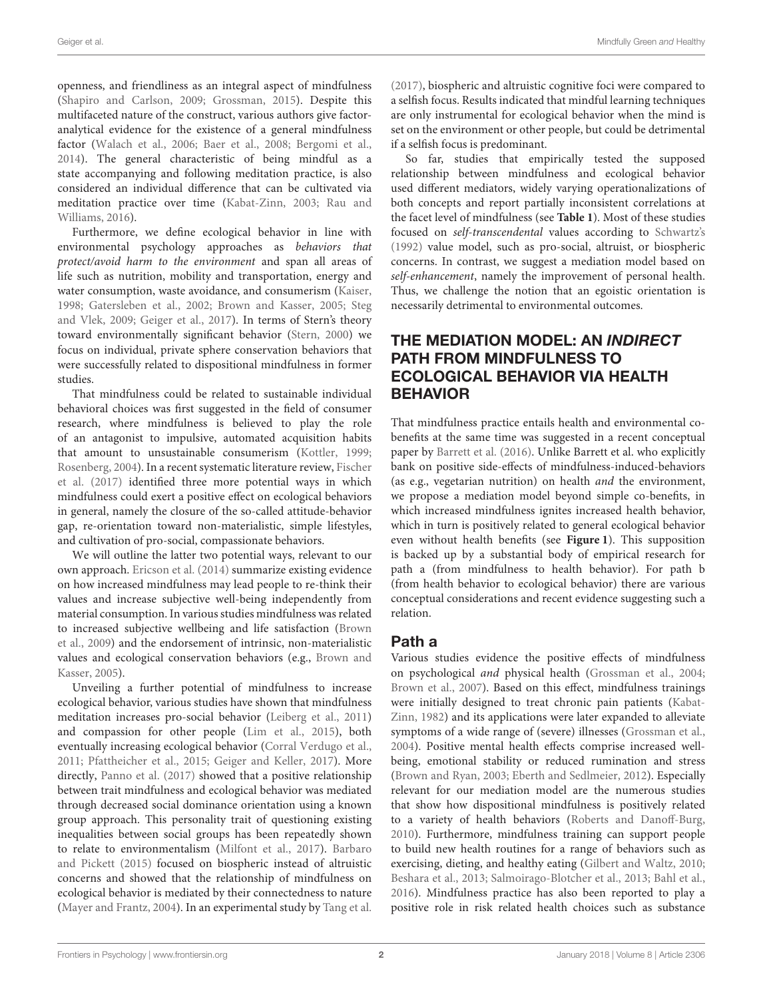openness, and friendliness as an integral aspect of mindfulness [\(Shapiro and Carlson, 2009;](#page-10-2) [Grossman, 2015\)](#page-9-4). Despite this multifaceted nature of the construct, various authors give factoranalytical evidence for the existence of a general mindfulness factor [\(Walach et al., 2006;](#page-10-3) [Baer et al., 2008;](#page-8-4) [Bergomi et al.,](#page-8-5) [2014\)](#page-8-5). The general characteristic of being mindful as a state accompanying and following meditation practice, is also considered an individual difference that can be cultivated via meditation practice over time [\(Kabat-Zinn, 2003;](#page-9-5) Rau and Williams, [2016\)](#page-10-1).

Furthermore, we define ecological behavior in line with environmental psychology approaches as behaviors that protect/avoid harm to the environment and span all areas of life such as nutrition, mobility and transportation, energy and water consumption, waste avoidance, and consumerism [\(Kaiser,](#page-9-6) [1998;](#page-9-6) [Gatersleben et al., 2002;](#page-9-7) [Brown and Kasser, 2005;](#page-8-0) Steg and Vlek, [2009;](#page-10-4) [Geiger et al., 2017\)](#page-9-8). In terms of Stern's theory toward environmentally significant behavior [\(Stern, 2000\)](#page-10-5) we focus on individual, private sphere conservation behaviors that were successfully related to dispositional mindfulness in former studies.

That mindfulness could be related to sustainable individual behavioral choices was first suggested in the field of consumer research, where mindfulness is believed to play the role of an antagonist to impulsive, automated acquisition habits that amount to unsustainable consumerism [\(Kottler, 1999;](#page-9-9) [Rosenberg, 2004\)](#page-10-6). In a recent systematic literature review, Fischer et al. [\(2017\)](#page-9-10) identified three more potential ways in which mindfulness could exert a positive effect on ecological behaviors in general, namely the closure of the so-called attitude-behavior gap, re-orientation toward non-materialistic, simple lifestyles, and cultivation of pro-social, compassionate behaviors.

We will outline the latter two potential ways, relevant to our own approach. [Ericson et al. \(2014\)](#page-9-11) summarize existing evidence on how increased mindfulness may lead people to re-think their values and increase subjective well-being independently from material consumption. In various studies mindfulness was related to increased subjective wellbeing and life satisfaction (Brown et al., [2009\)](#page-8-6) and the endorsement of intrinsic, non-materialistic values and ecological conservation behaviors (e.g., Brown and Kasser, [2005\)](#page-8-0).

Unveiling a further potential of mindfulness to increase ecological behavior, various studies have shown that mindfulness meditation increases pro-social behavior [\(Leiberg et al., 2011\)](#page-9-12) and compassion for other people [\(Lim et al., 2015\)](#page-9-13), both eventually increasing ecological behavior [\(Corral Verdugo et al.,](#page-9-14) [2011;](#page-9-14) [Pfattheicher et al., 2015;](#page-10-7) [Geiger and Keller, 2017\)](#page-9-15). More directly, [Panno et al. \(2017\)](#page-10-0) showed that a positive relationship between trait mindfulness and ecological behavior was mediated through decreased social dominance orientation using a known group approach. This personality trait of questioning existing inequalities between social groups has been repeatedly shown to relate to environmentalism [\(Milfont et al., 2017\)](#page-9-16). Barbaro and Pickett [\(2015\)](#page-8-2) focused on biospheric instead of altruistic concerns and showed that the relationship of mindfulness on ecological behavior is mediated by their connectedness to nature [\(Mayer and Frantz, 2004\)](#page-9-17). In an experimental study by [Tang et al.](#page-10-8) [\(2017\)](#page-10-8), biospheric and altruistic cognitive foci were compared to a selfish focus. Results indicated that mindful learning techniques are only instrumental for ecological behavior when the mind is set on the environment or other people, but could be detrimental if a selfish focus is predominant.

So far, studies that empirically tested the supposed relationship between mindfulness and ecological behavior used different mediators, widely varying operationalizations of both concepts and report partially inconsistent correlations at the facet level of mindfulness (see **[Table 1](#page-2-0)**). Most of these studies focused on self-transcendental values according to [Schwartz's](#page-10-9) [\(1992\)](#page-10-9) value model, such as pro-social, altruist, or biospheric concerns. In contrast, we suggest a mediation model based on self-enhancement, namely the improvement of personal health. Thus, we challenge the notion that an egoistic orientation is necessarily detrimental to environmental outcomes.

# THE MEDIATION MODEL: AN INDIRECT PATH FROM MINDFULNESS TO ECOLOGICAL BEHAVIOR VIA HEALTH BEHAVIOR

That mindfulness practice entails health and environmental cobenefits at the same time was suggested in a recent conceptual paper by [Barrett et al. \(2016\)](#page-8-7). Unlike Barrett et al. who explicitly bank on positive side-effects of mindfulness-induced-behaviors (as e.g., vegetarian nutrition) on health and the environment, we propose a mediation model beyond simple co-benefits, in which increased mindfulness ignites increased health behavior, which in turn is positively related to general ecological behavior even without health benefits (see **[Figure 1](#page-2-1)**). This supposition is backed up by a substantial body of empirical research for path a (from mindfulness to health behavior). For path b (from health behavior to ecological behavior) there are various conceptual considerations and recent evidence suggesting such a relation.

# Path a

Various studies evidence the positive effects of mindfulness on psychological and physical health [\(Grossman et al., 2004;](#page-9-0) [Brown et al., 2007\)](#page-8-8). Based on this effect, mindfulness trainings were initially designed to treat chronic pain patients (Kabat-Zinn, [1982\)](#page-9-18) and its applications were later expanded to alleviate symptoms of a wide range of (severe) illnesses [\(Grossman et al.,](#page-9-0) [2004\)](#page-9-0). Positive mental health effects comprise increased wellbeing, emotional stability or reduced rumination and stress [\(Brown and Ryan, 2003;](#page-8-9) [Eberth and Sedlmeier, 2012\)](#page-9-19). Especially relevant for our mediation model are the numerous studies that show how dispositional mindfulness is positively related to a variety of health behaviors [\(Roberts and Danoff-Burg,](#page-10-10) [2010\)](#page-10-10). Furthermore, mindfulness training can support people to build new health routines for a range of behaviors such as exercising, dieting, and healthy eating [\(Gilbert and Waltz, 2010;](#page-9-20) [Beshara et al., 2013;](#page-8-10) [Salmoirago-Blotcher et al., 2013;](#page-10-11) Bahl [et al.,](#page-8-11) [2016\)](#page-8-11). Mindfulness practice has also been reported to play a positive role in risk related health choices such as substance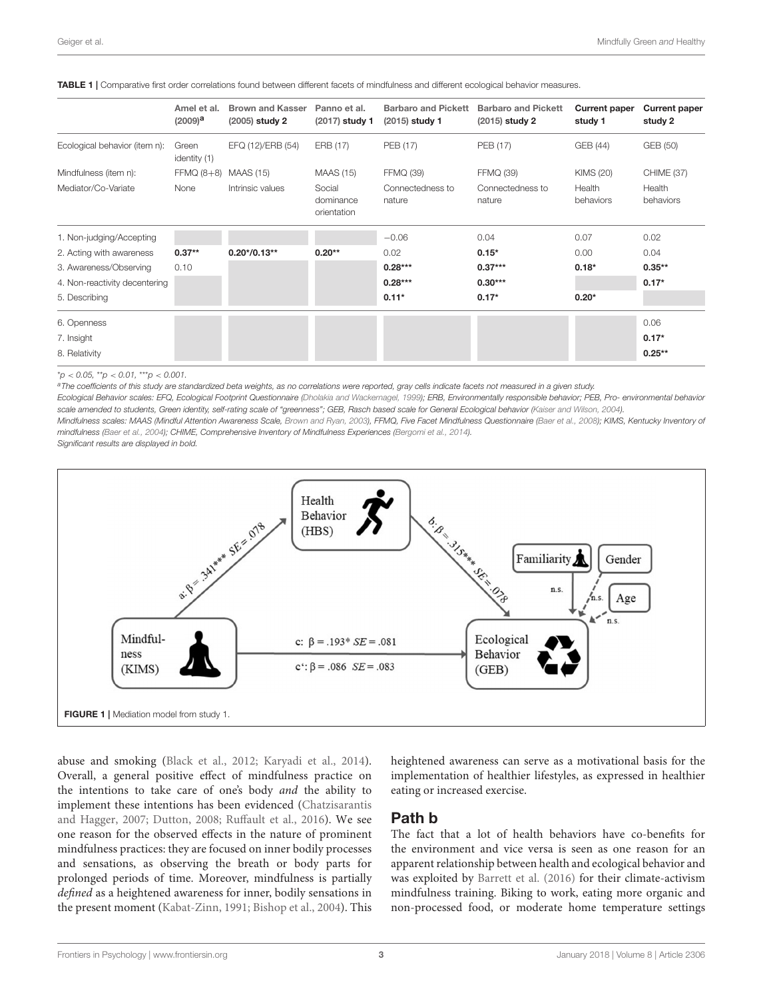|                               | Amel et al.<br>$(2009)^a$ | <b>Brown and Kasser</b><br>$(2005)$ study 2 | Panno et al.<br>(2017) study 1     | <b>Barbaro and Pickett</b><br>(2015) study 1 | <b>Barbaro and Pickett</b><br>$(2015)$ study 2 | <b>Current paper</b><br>study 1 | <b>Current paper</b><br>study 2 |
|-------------------------------|---------------------------|---------------------------------------------|------------------------------------|----------------------------------------------|------------------------------------------------|---------------------------------|---------------------------------|
| Ecological behavior (item n): | Green<br>identity (1)     | EFQ (12)/ERB (54)                           | ERB (17)                           | PEB (17)                                     | PEB (17)                                       | GEB (44)                        | GEB (50)                        |
| Mindfulness (item n):         | $FFMQ (8+8)$              | <b>MAAS (15)</b>                            | <b>MAAS (15)</b>                   | <b>FFMQ (39)</b>                             | <b>FFMQ (39)</b>                               | <b>KIMS (20)</b>                | CHIME (37)                      |
| Mediator/Co-Variate           | None                      | Intrinsic values                            | Social<br>dominance<br>orientation | Connectedness to<br>nature                   | Connectedness to<br>nature                     | Health<br>behaviors             | Health<br>behaviors             |
| 1. Non-judging/Accepting      |                           |                                             |                                    | $-0.06$                                      | 0.04                                           | 0.07                            | 0.02                            |
| 2. Acting with awareness      | $0.37**$                  | $0.20*/0.13**$                              | $0.20**$                           | 0.02                                         | $0.15*$                                        | 0.00                            | 0.04                            |
| 3. Awareness/Observing        | 0.10                      |                                             |                                    | $0.28***$                                    | $0.37***$                                      | $0.18*$                         | $0.35***$                       |
| 4. Non-reactivity decentering |                           |                                             |                                    | $0.28***$                                    | $0.30***$                                      |                                 | $0.17*$                         |
| 5. Describing                 |                           |                                             |                                    | $0.11*$                                      | $0.17*$                                        | $0.20*$                         |                                 |
| 6. Openness                   |                           |                                             |                                    |                                              |                                                |                                 | 0.06                            |
| 7. Insight                    |                           |                                             |                                    |                                              |                                                |                                 | $0.17*$                         |
| 8. Relativity                 |                           |                                             |                                    |                                              |                                                |                                 | $0.25***$                       |

<span id="page-2-0"></span>TABLE 1 | Comparative first order correlations found between different facets of mindfulness and different ecological behavior measures.

 $*p < 0.05$ ,  $*p < 0.01$ ,  $**p < 0.001$ .

aThe coefficients of this study are standardized beta weights, as no correlations were reported, gray cells indicate facets not measured in a given study.

Ecological Behavior scales: EFQ, Ecological Footprint Questionnaire [\(Dholakia and Wackernagel, 1999\)](#page-9-21); ERB, Environmentally responsible behavior; PEB, Pro- environmental behavior scale amended to students, Green identity, self-rating scale of "greenness"; GEB, Rasch based scale for General Ecological behavior [\(Kaiser and Wilson, 2004\)](#page-9-22).

Mindfulness scales: MAAS (Mindful Attention Awareness Scale, [Brown and Ryan, 2003\)](#page-8-9), FFMQ, Five Facet Mindfulness Questionnaire [\(Baer et al., 2008\)](#page-8-4); KIMS, Kentucky Inventory of mindfulness [\(Baer et al., 2004\)](#page-8-12); CHIME, Comprehensive Inventory of Mindfulness Experiences [\(Bergomi et al., 2014\)](#page-8-5).

Significant results are displayed in bold.



<span id="page-2-1"></span>abuse and smoking [\(Black et al., 2012;](#page-8-13) [Karyadi et al., 2014\)](#page-9-23). Overall, a general positive effect of mindfulness practice on the intentions to take care of one's body and the ability to implement these intentions has been evidenced (Chatzisarantis and Hagger, [2007;](#page-9-24) [Dutton, 2008;](#page-9-25) [Ruffault et al., 2016\)](#page-10-12). We see one reason for the observed effects in the nature of prominent mindfulness practices: they are focused on inner bodily processes and sensations, as observing the breath or body parts for prolonged periods of time. Moreover, mindfulness is partially defined as a heightened awareness for inner, bodily sensations in the present moment [\(Kabat-Zinn, 1991;](#page-9-3) [Bishop et al., 2004\)](#page-8-3). This

heightened awareness can serve as a motivational basis for the implementation of healthier lifestyles, as expressed in healthier eating or increased exercise.

## Path b

The fact that a lot of health behaviors have co-benefits for the environment and vice versa is seen as one reason for an apparent relationship between health and ecological behavior and was exploited by [Barrett et al. \(2016\)](#page-8-7) for their climate-activism mindfulness training. Biking to work, eating more organic and non-processed food, or moderate home temperature settings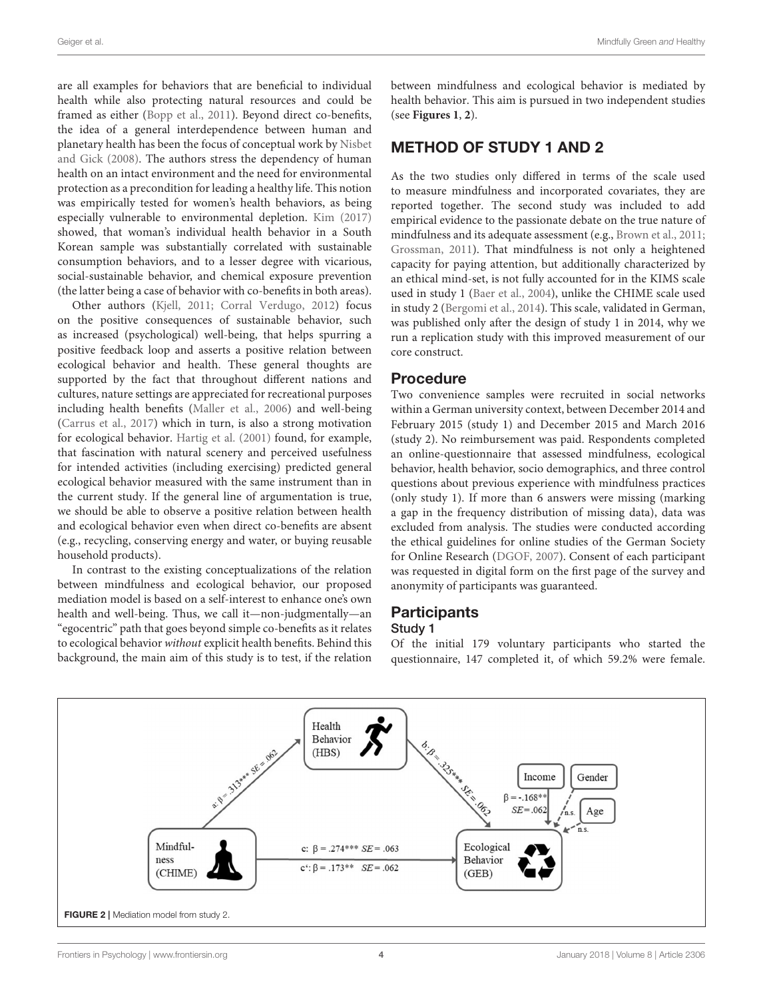are all examples for behaviors that are beneficial to individual health while also protecting natural resources and could be framed as either [\(Bopp et al., 2011\)](#page-8-14). Beyond direct co-benefits, the idea of a general interdependence between human and planetary health has been the focus of conceptual work by Nisbet and Gick [\(2008\)](#page-9-26). The authors stress the dependency of human health on an intact environment and the need for environmental protection as a precondition for leading a healthy life. This notion was empirically tested for women's health behaviors, as being especially vulnerable to environmental depletion. [Kim \(2017\)](#page-9-27) showed, that woman's individual health behavior in a South Korean sample was substantially correlated with sustainable consumption behaviors, and to a lesser degree with vicarious, social-sustainable behavior, and chemical exposure prevention (the latter being a case of behavior with co-benefits in both areas).

Other authors [\(Kjell, 2011;](#page-9-28) [Corral Verdugo, 2012\)](#page-9-29) focus on the positive consequences of sustainable behavior, such as increased (psychological) well-being, that helps spurring a positive feedback loop and asserts a positive relation between ecological behavior and health. These general thoughts are supported by the fact that throughout different nations and cultures, nature settings are appreciated for recreational purposes including health benefits [\(Maller et al., 2006\)](#page-9-30) and well-being [\(Carrus et al., 2017\)](#page-8-15) which in turn, is also a strong motivation for ecological behavior. [Hartig et al. \(2001\)](#page-9-31) found, for example, that fascination with natural scenery and perceived usefulness for intended activities (including exercising) predicted general ecological behavior measured with the same instrument than in the current study. If the general line of argumentation is true, we should be able to observe a positive relation between health and ecological behavior even when direct co-benefits are absent (e.g., recycling, conserving energy and water, or buying reusable household products).

In contrast to the existing conceptualizations of the relation between mindfulness and ecological behavior, our proposed mediation model is based on a self-interest to enhance one's own health and well-being. Thus, we call it—non-judgmentally—an "egocentric" path that goes beyond simple co-benefits as it relates to ecological behavior without explicit health benefits. Behind this background, the main aim of this study is to test, if the relation between mindfulness and ecological behavior is mediated by health behavior. This aim is pursued in two independent studies (see **[Figures 1](#page-2-1)**, **[2](#page-3-0)**).

## METHOD OF STUDY 1 AND 2

As the two studies only differed in terms of the scale used to measure mindfulness and incorporated covariates, they are reported together. The second study was included to add empirical evidence to the passionate debate on the true nature of mindfulness and its adequate assessment (e.g., [Brown et al., 2011;](#page-8-16) [Grossman, 2011\)](#page-9-32). That mindfulness is not only a heightened capacity for paying attention, but additionally characterized by an ethical mind-set, is not fully accounted for in the KIMS scale used in study 1 [\(Baer et al., 2004\)](#page-8-12), unlike the CHIME scale used in study 2 [\(Bergomi et al., 2014\)](#page-8-5). This scale, validated in German, was published only after the design of study 1 in 2014, why we run a replication study with this improved measurement of our core construct.

## Procedure

Two convenience samples were recruited in social networks within a German university context, between December 2014 and February 2015 (study 1) and December 2015 and March 2016 (study 2). No reimbursement was paid. Respondents completed an online-questionnaire that assessed mindfulness, ecological behavior, health behavior, socio demographics, and three control questions about previous experience with mindfulness practices (only study 1). If more than 6 answers were missing (marking a gap in the frequency distribution of missing data), data was excluded from analysis. The studies were conducted according the ethical guidelines for online studies of the German Society for Online Research [\(DGOF, 2007\)](#page-9-33). Consent of each participant was requested in digital form on the first page of the survey and anonymity of participants was guaranteed.

## **Participants** Study 1

## Of the initial 179 voluntary participants who started the questionnaire, 147 completed it, of which 59.2% were female.

<span id="page-3-0"></span>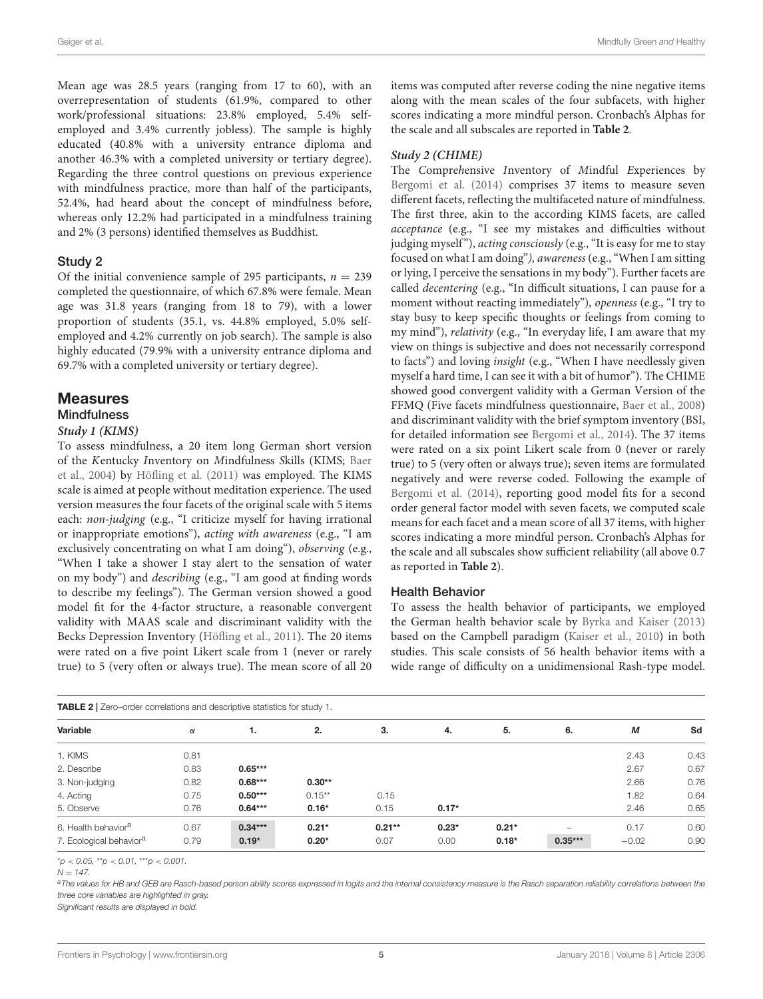Mean age was 28.5 years (ranging from 17 to 60), with an overrepresentation of students (61.9%, compared to other work/professional situations: 23.8% employed, 5.4% selfemployed and 3.4% currently jobless). The sample is highly educated (40.8% with a university entrance diploma and another 46.3% with a completed university or tertiary degree). Regarding the three control questions on previous experience with mindfulness practice, more than half of the participants, 52.4%, had heard about the concept of mindfulness before, whereas only 12.2% had participated in a mindfulness training and 2% (3 persons) identified themselves as Buddhist.

#### Study 2

Of the initial convenience sample of 295 participants,  $n = 239$ completed the questionnaire, of which 67.8% were female. Mean age was 31.8 years (ranging from 18 to 79), with a lower proportion of students (35.1, vs. 44.8% employed, 5.0% selfemployed and 4.2% currently on job search). The sample is also highly educated (79.9% with a university entrance diploma and 69.7% with a completed university or tertiary degree).

## **Measures Mindfulness**

## **Study 1 (KIMS)**

To assess mindfulness, a 20 item long German short version of the Kentucky Inventory on Mindfulness Skills (KIMS; Baer et al., [2004\)](#page-8-12) by [Höfling et al. \(2011\)](#page-9-34) was employed. The KIMS scale is aimed at people without meditation experience. The used version measures the four facets of the original scale with 5 items each: non-judging (e.g., "I criticize myself for having irrational or inappropriate emotions"), acting with awareness (e.g., "I am exclusively concentrating on what I am doing"), observing (e.g., "When I take a shower I stay alert to the sensation of water on my body") and describing (e.g., "I am good at finding words to describe my feelings"). The German version showed a good model fit for the 4-factor structure, a reasonable convergent validity with MAAS scale and discriminant validity with the Becks Depression Inventory [\(Höfling et al., 2011\)](#page-9-34). The 20 items were rated on a five point Likert scale from 1 (never or rarely true) to 5 (very often or always true). The mean score of all 20 items was computed after reverse coding the nine negative items along with the mean scales of the four subfacets, with higher scores indicating a more mindful person. Cronbach's Alphas for the scale and all subscales are reported in **[Table 2](#page-4-0)**.

#### **Study 2 (CHIME)**

The Comprehensive Inventory of Mindful Experiences by [Bergomi et al. \(2014\)](#page-8-5) comprises 37 items to measure seven different facets, reflecting the multifaceted nature of mindfulness. The first three, akin to the according KIMS facets, are called acceptance (e.g., "I see my mistakes and difficulties without judging myself"), acting consciously (e.g., "It is easy for me to stay focused on what I am doing"), awareness (e.g., "When I am sitting or lying, I perceive the sensations in my body"). Further facets are called decentering (e.g., "In difficult situations, I can pause for a moment without reacting immediately"), *openness* (e.g., "I try to stay busy to keep specific thoughts or feelings from coming to my mind"), relativity (e.g., "In everyday life, I am aware that my view on things is subjective and does not necessarily correspond to facts") and loving insight (e.g., "When I have needlessly given myself a hard time, I can see it with a bit of humor"). The CHIME showed good convergent validity with a German Version of the FFMQ (Five facets mindfulness questionnaire, [Baer et al., 2008\)](#page-8-4) and discriminant validity with the brief symptom inventory (BSI, for detailed information see [Bergomi et al., 2014\)](#page-8-5). The 37 items were rated on a six point Likert scale from 0 (never or rarely true) to 5 (very often or always true); seven items are formulated negatively and were reverse coded. Following the example of [Bergomi et al. \(2014\)](#page-8-5), reporting good model fits for a second order general factor model with seven facets, we computed scale means for each facet and a mean score of all 37 items, with higher scores indicating a more mindful person. Cronbach's Alphas for the scale and all subscales show sufficient reliability (all above 0.7 as reported in **[Table 2](#page-4-0)**).

#### Health Behavior

To assess the health behavior of participants, we employed the German health behavior scale by [Byrka and Kaiser \(2013\)](#page-8-17) based on the Campbell paradigm [\(Kaiser et al., 2010\)](#page-9-35) in both studies. This scale consists of 56 health behavior items with a wide range of difficulty on a unidimensional Rash-type model.

<span id="page-4-0"></span>

| Variable                            | $\alpha$ | 1.        | 2.        | 3.        | 4.      | 5.      | 6.        | М       | Sd   |
|-------------------------------------|----------|-----------|-----------|-----------|---------|---------|-----------|---------|------|
| 1. KIMS                             | 0.81     |           |           |           |         |         |           | 2.43    | 0.43 |
| 2. Describe                         | 0.83     | $0.65***$ |           |           |         |         |           | 2.67    | 0.67 |
| 3. Non-judging                      | 0.82     | $0.68***$ | $0.30**$  |           |         |         |           | 2.66    | 0.76 |
| 4. Acting                           | 0.75     | $0.50***$ | $0.15***$ | 0.15      |         |         |           | 1.82    | 0.64 |
| 5. Observe                          | 0.76     | $0.64***$ | $0.16*$   | 0.15      | $0.17*$ |         |           | 2.46    | 0.65 |
| 6. Health behavior <sup>a</sup>     | 0.67     | $0.34***$ | $0.21*$   | $0.21***$ | $0.23*$ | $0.21*$ |           | 0.17    | 0.60 |
| 7. Ecological behavior <sup>a</sup> | 0.79     | $0.19*$   | $0.20*$   | 0.07      | 0.00    | $0.18*$ | $0.35***$ | $-0.02$ | 0.90 |

 $*p < 0.05$ ,  $*p < 0.01$ ,  $**p < 0.001$ .

a The values for HB and GEB are Rasch-based person ability scores expressed in logits and the internal consistency measure is the Rasch separation reliability correlations between the three core variables are highlighted in gray.

Significant results are displayed in bold.

 $N = 147$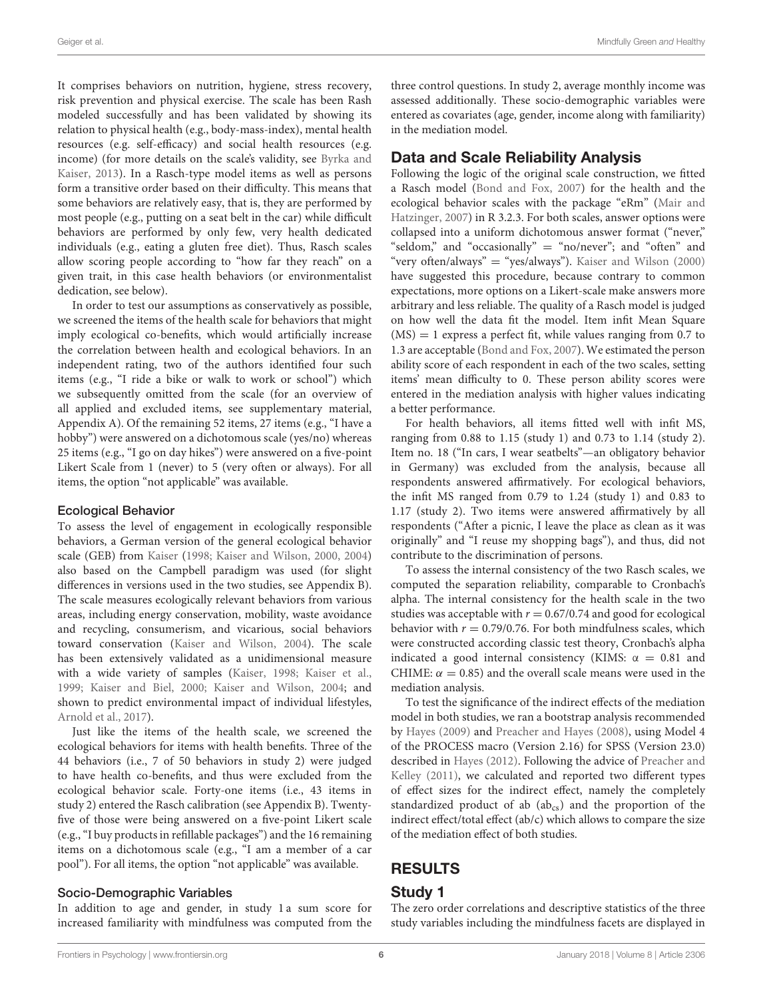It comprises behaviors on nutrition, hygiene, stress recovery, risk prevention and physical exercise. The scale has been Rash modeled successfully and has been validated by showing its relation to physical health (e.g., body-mass-index), mental health resources (e.g. self-efficacy) and social health resources (e.g. income) (for more details on the scale's validity, see Byrka and Kaiser, [2013\)](#page-8-17). In a Rasch-type model items as well as persons form a transitive order based on their difficulty. This means that some behaviors are relatively easy, that is, they are performed by most people (e.g., putting on a seat belt in the car) while difficult behaviors are performed by only few, very health dedicated individuals (e.g., eating a gluten free diet). Thus, Rasch scales allow scoring people according to "how far they reach" on a given trait, in this case health behaviors (or environmentalist dedication, see below).

In order to test our assumptions as conservatively as possible, we screened the items of the health scale for behaviors that might imply ecological co-benefits, which would artificially increase the correlation between health and ecological behaviors. In an independent rating, two of the authors identified four such items (e.g., "I ride a bike or walk to work or school") which we subsequently omitted from the scale (for an overview of all applied and excluded items, see supplementary material, Appendix A). Of the remaining 52 items, 27 items (e.g., "I have a hobby") were answered on a dichotomous scale (yes/no) whereas 25 items (e.g., "I go on day hikes") were answered on a five-point Likert Scale from 1 (never) to 5 (very often or always). For all items, the option "not applicable" was available.

#### Ecological Behavior

To assess the level of engagement in ecologically responsible behaviors, a German version of the general ecological behavior scale (GEB) from [Kaiser](#page-9-6) [\(1998;](#page-9-6) [Kaiser and Wilson, 2000,](#page-9-36) [2004\)](#page-9-22) also based on the Campbell paradigm was used (for slight differences in versions used in the two studies, see Appendix B). The scale measures ecologically relevant behaviors from various areas, including energy conservation, mobility, waste avoidance and recycling, consumerism, and vicarious, social behaviors toward conservation [\(Kaiser and Wilson, 2004\)](#page-9-22). The scale has been extensively validated as a unidimensional measure with a wide variety of samples [\(Kaiser, 1998;](#page-9-6) [Kaiser et al.,](#page-9-37) [1999;](#page-9-37) [Kaiser and Biel, 2000;](#page-9-38) [Kaiser and Wilson, 2004;](#page-9-22) and shown to predict environmental impact of individual lifestyles, [Arnold et al., 2017\)](#page-8-18).

Just like the items of the health scale, we screened the ecological behaviors for items with health benefits. Three of the 44 behaviors (i.e., 7 of 50 behaviors in study 2) were judged to have health co-benefits, and thus were excluded from the ecological behavior scale. Forty-one items (i.e., 43 items in study 2) entered the Rasch calibration (see Appendix B). Twentyfive of those were being answered on a five-point Likert scale (e.g., "I buy products in refillable packages") and the 16 remaining items on a dichotomous scale (e.g., "I am a member of a car pool"). For all items, the option "not applicable" was available.

## Socio-Demographic Variables

In addition to age and gender, in study 1 a sum score for increased familiarity with mindfulness was computed from the three control questions. In study 2, average monthly income was assessed additionally. These socio-demographic variables were entered as covariates (age, gender, income along with familiarity) in the mediation model.

## Data and Scale Reliability Analysis

Following the logic of the original scale construction, we fitted a Rasch model [\(Bond and Fox, 2007\)](#page-8-19) for the health and the ecological behavior scales with the package "eRm" (Mair and Hatzinger, [2007\)](#page-9-39) in R 3.2.3. For both scales, answer options were collapsed into a uniform dichotomous answer format ("never," "seldom," and "occasionally" = "no/never"; and "often" and "very often/always" = "yes/always"). [Kaiser and Wilson \(2000\)](#page-9-36) have suggested this procedure, because contrary to common expectations, more options on a Likert-scale make answers more arbitrary and less reliable. The quality of a Rasch model is judged on how well the data fit the model. Item infit Mean Square  $(MS) = 1$  express a perfect fit, while values ranging from 0.7 to 1.3 are acceptable [\(Bond and Fox, 2007\)](#page-8-19). We estimated the person ability score of each respondent in each of the two scales, setting items' mean difficulty to 0. These person ability scores were entered in the mediation analysis with higher values indicating a better performance.

For health behaviors, all items fitted well with infit MS, ranging from 0.88 to 1.15 (study 1) and 0.73 to 1.14 (study 2). Item no. 18 ("In cars, I wear seatbelts"—an obligatory behavior in Germany) was excluded from the analysis, because all respondents answered affirmatively. For ecological behaviors, the infit MS ranged from 0.79 to 1.24 (study 1) and 0.83 to 1.17 (study 2). Two items were answered affirmatively by all respondents ("After a picnic, I leave the place as clean as it was originally" and "I reuse my shopping bags"), and thus, did not contribute to the discrimination of persons.

To assess the internal consistency of the two Rasch scales, we computed the separation reliability, comparable to Cronbach's alpha. The internal consistency for the health scale in the two studies was acceptable with  $r = 0.67/0.74$  and good for ecological behavior with  $r = 0.79/0.76$ . For both mindfulness scales, which were constructed according classic test theory, Cronbach's alpha indicated a good internal consistency (KIMS:  $\alpha = 0.81$  and CHIME:  $\alpha = 0.85$ ) and the overall scale means were used in the mediation analysis.

To test the significance of the indirect effects of the mediation model in both studies, we ran a bootstrap analysis recommended by [Hayes \(2009\)](#page-9-40) and [Preacher and Hayes \(2008\)](#page-10-13), using Model 4 of the PROCESS macro (Version 2.16) for SPSS (Version 23.0) described in [Hayes \(2012\)](#page-9-41). Following the advice of Preacher and Kelley [\(2011\)](#page-10-14), we calculated and reported two different types of effect sizes for the indirect effect, namely the completely standardized product of ab  $(ab_{cs})$  and the proportion of the indirect effect/total effect (ab/c) which allows to compare the size of the mediation effect of both studies.

# RESULTS

## Study 1

The zero order correlations and descriptive statistics of the three study variables including the mindfulness facets are displayed in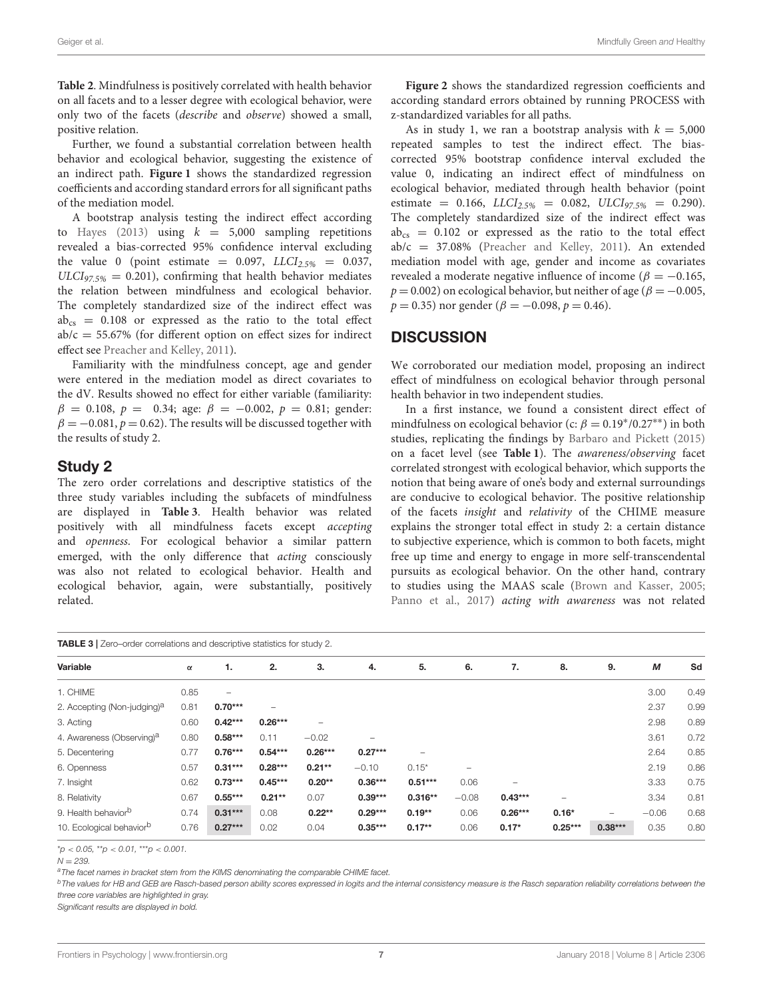**[Table 2](#page-4-0)**. Mindfulness is positively correlated with health behavior on all facets and to a lesser degree with ecological behavior, were only two of the facets (describe and observe) showed a small, positive relation.

Further, we found a substantial correlation between health behavior and ecological behavior, suggesting the existence of an indirect path. **[Figure 1](#page-2-1)** shows the standardized regression coefficients and according standard errors for all significant paths of the mediation model.

A bootstrap analysis testing the indirect effect according to [Hayes \(2013\)](#page-9-42) using  $k = 5,000$  sampling repetitions revealed a bias-corrected 95% confidence interval excluding the value 0 (point estimate =  $0.097$ ,  $LLCI<sub>2.5%</sub>$  = 0.037,  $ULCI_{97.5\%} = 0.201$ , confirming that health behavior mediates the relation between mindfulness and ecological behavior. The completely standardized size of the indirect effect was  $ab_{cs} = 0.108$  or expressed as the ratio to the total effect  $ab/c = 55.67\%$  (for different option on effect sizes for indirect effect see [Preacher and Kelley, 2011\)](#page-10-14).

Familiarity with the mindfulness concept, age and gender were entered in the mediation model as direct covariates to the dV. Results showed no effect for either variable (familiarity:  $β = 0.108, p = 0.34$ ; age:  $β = -0.002, p = 0.81$ ; gender:  $\beta = -0.081, p = 0.62$ . The results will be discussed together with the results of study 2.

## Study 2

The zero order correlations and descriptive statistics of the three study variables including the subfacets of mindfulness are displayed in **[Table 3](#page-6-0)**. Health behavior was related positively with all mindfulness facets except accepting and openness. For ecological behavior a similar pattern emerged, with the only difference that acting consciously was also not related to ecological behavior. Health and ecological behavior, again, were substantially, positively related.

**[Figure 2](#page-3-0)** shows the standardized regression coefficients and according standard errors obtained by running PROCESS with z-standardized variables for all paths.

As in study 1, we ran a bootstrap analysis with  $k = 5,000$ repeated samples to test the indirect effect. The biascorrected 95% bootstrap confidence interval excluded the value 0, indicating an indirect effect of mindfulness on ecological behavior, mediated through health behavior (point estimate = 0.166,  $LLCI_{2.5\%}$  = 0.082,  $ULCI_{97.5\%}$  = 0.290). The completely standardized size of the indirect effect was  $ab_{cs} = 0.102$  or expressed as the ratio to the total effect ab/c = 37.08% [\(Preacher and Kelley, 2011\)](#page-10-14). An extended mediation model with age, gender and income as covariates revealed a moderate negative influence of income ( $\beta = -0.165$ ,  $p = 0.002$ ) on ecological behavior, but neither of age ( $\beta = -0.005$ ,  $p = 0.35$ ) nor gender ( $\beta = -0.098$ ,  $p = 0.46$ ).

## **DISCUSSION**

We corroborated our mediation model, proposing an indirect effect of mindfulness on ecological behavior through personal health behavior in two independent studies.

In a first instance, we found a consistent direct effect of mindfulness on ecological behavior (c:  $\beta = 0.19^*/0.27^{**}$ ) in both studies, replicating the findings by [Barbaro and Pickett \(2015\)](#page-8-2) on a facet level (see **[Table 1](#page-2-0)**). The awareness/observing facet correlated strongest with ecological behavior, which supports the notion that being aware of one's body and external surroundings are conducive to ecological behavior. The positive relationship of the facets insight and relativity of the CHIME measure explains the stronger total effect in study 2: a certain distance to subjective experience, which is common to both facets, might free up time and energy to engage in more self-transcendental pursuits as ecological behavior. On the other hand, contrary to studies using the MAAS scale [\(Brown and Kasser, 2005;](#page-8-0) [Panno et al., 2017\)](#page-10-0) acting with awareness was not related

<span id="page-6-0"></span>

| <b>TABLE 3</b>   Zero–order correlations and descriptive statistics for study 2. |          |                   |           |                          |           |           |         |           |           |                          |         |      |
|----------------------------------------------------------------------------------|----------|-------------------|-----------|--------------------------|-----------|-----------|---------|-----------|-----------|--------------------------|---------|------|
| Variable                                                                         | $\alpha$ | 1.                | 2.        | 3.                       | 4.        | 5.        | 6.      | 7.        | 8.        | 9.                       | M       | Sd   |
| 1. CHIME                                                                         | 0.85     | $\qquad \qquad -$ |           |                          |           |           |         |           |           |                          | 3.00    | 0.49 |
| 2. Accepting (Non-judging) <sup>a</sup>                                          | 0.81     | $0.70***$         |           |                          |           |           |         |           |           |                          | 2.37    | 0.99 |
| 3. Acting                                                                        | 0.60     | $0.42***$         | $0.26***$ | $\overline{\phantom{0}}$ |           |           |         |           |           |                          | 2.98    | 0.89 |
| 4. Awareness (Observing) <sup>a</sup>                                            | 0.80     | $0.58***$         | 0.11      | $-0.02$                  |           |           |         |           |           |                          | 3.61    | 0.72 |
| 5. Decentering                                                                   | 0.77     | $0.76***$         | $0.54***$ | $0.26***$                | $0.27***$ |           |         |           |           |                          | 2.64    | 0.85 |
| 6. Openness                                                                      | 0.57     | $0.31***$         | $0.28***$ | $0.21**$                 | $-0.10$   | $0.15*$   | -       |           |           |                          | 2.19    | 0.86 |
| 7. Insight                                                                       | 0.62     | $0.73***$         | $0.45***$ | $0.20**$                 | $0.36***$ | $0.51***$ | 0.06    |           |           |                          | 3.33    | 0.75 |
| 8. Relativity                                                                    | 0.67     | $0.55***$         | $0.21***$ | 0.07                     | $0.39***$ | $0.316**$ | $-0.08$ | $0.43***$ | -         |                          | 3.34    | 0.81 |
| 9. Health behavior <sup>b</sup>                                                  | 0.74     | $0.31***$         | 0.08      | $0.22**$                 | $0.29***$ | $0.19**$  | 0.06    | $0.26***$ | $0.16*$   | $\overline{\phantom{0}}$ | $-0.06$ | 0.68 |
| 10. Ecological behavior <sup>b</sup>                                             | 0.76     | $0.27***$         | 0.02      | 0.04                     | $0.35***$ | $0.17**$  | 0.06    | $0.17*$   | $0.25***$ | $0.38***$                | 0.35    | 0.80 |

 $*_{p}$  < 0.05,  $*_{p}$  < 0.01,  $*_{p}$  < 0.001.

 $N - 239$ 

a The facet names in bracket stem from the KIMS denominating the comparable CHIME facet.

<sup>b</sup>The values for HB and GEB are Rasch-based person ability scores expressed in logits and the internal consistency measure is the Rasch separation reliability correlations between the three core variables are highlighted in gray.

Significant results are displayed in bold.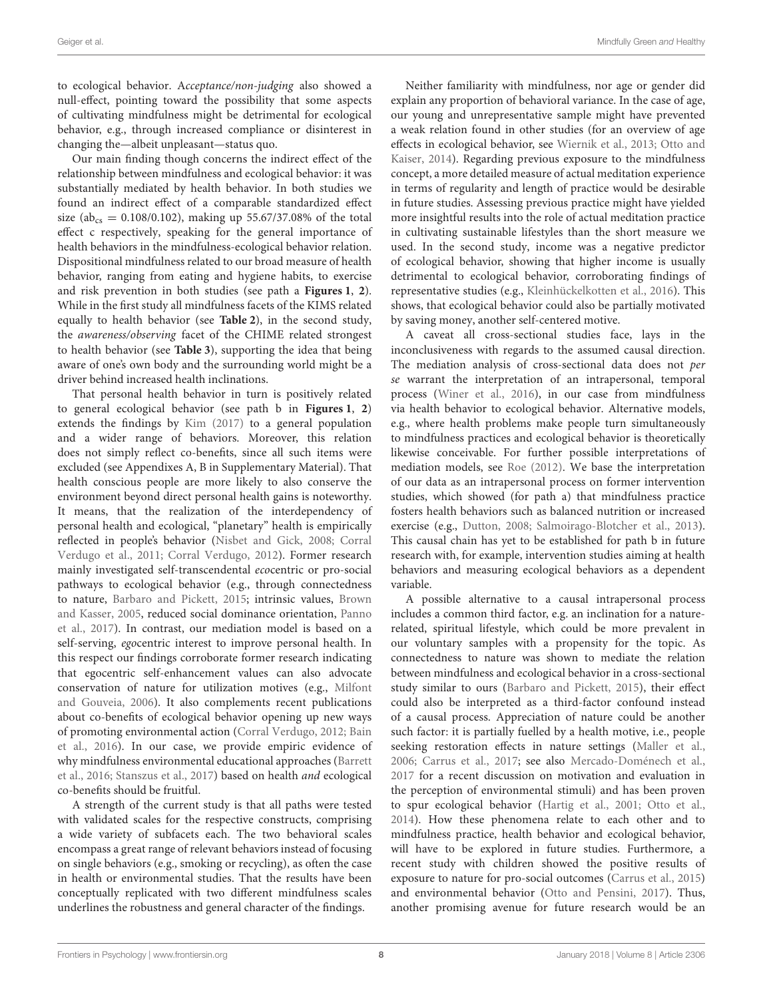to ecological behavior. Acceptance/non-judging also showed a null-effect, pointing toward the possibility that some aspects of cultivating mindfulness might be detrimental for ecological behavior, e.g., through increased compliance or disinterest in changing the—albeit unpleasant—status quo.

Our main finding though concerns the indirect effect of the relationship between mindfulness and ecological behavior: it was substantially mediated by health behavior. In both studies we found an indirect effect of a comparable standardized effect size (ab<sub>cs</sub> = 0.108/0.102), making up 55.67/37.08% of the total effect c respectively, speaking for the general importance of health behaviors in the mindfulness-ecological behavior relation. Dispositional mindfulness related to our broad measure of health behavior, ranging from eating and hygiene habits, to exercise and risk prevention in both studies (see path a **[Figures 1](#page-2-1)**, **[2](#page-3-0)**). While in the first study all mindfulness facets of the KIMS related equally to health behavior (see **[Table 2](#page-4-0)**), in the second study, the awareness/observing facet of the CHIME related strongest to health behavior (see **[Table 3](#page-6-0)**), supporting the idea that being aware of one's own body and the surrounding world might be a driver behind increased health inclinations.

That personal health behavior in turn is positively related to general ecological behavior (see path b in **[Figures 1](#page-2-1)**, **[2](#page-3-0)**) extends the findings by [Kim \(2017\)](#page-9-27) to a general population and a wider range of behaviors. Moreover, this relation does not simply reflect co-benefits, since all such items were excluded (see Appendixes A, B in Supplementary Material). That health conscious people are more likely to also conserve the environment beyond direct personal health gains is noteworthy. It means, that the realization of the interdependency of personal health and ecological, "planetary" health is empirically reflected in people's behavior [\(Nisbet and Gick, 2008;](#page-9-26) Corral Verdugo et al., [2011;](#page-9-14) [Corral Verdugo, 2012\)](#page-9-29). Former research mainly investigated self-transcendental ecocentric or pro-social pathways to ecological behavior (e.g., through connectedness to nature, [Barbaro and Pickett, 2015;](#page-8-2) intrinsic values, Brown and Kasser, [2005,](#page-8-0) reduced social dominance orientation, Panno et al., [2017\)](#page-10-0). In contrast, our mediation model is based on a self-serving, egocentric interest to improve personal health. In this respect our findings corroborate former research indicating that egocentric self-enhancement values can also advocate conservation of nature for utilization motives (e.g., Milfont and Gouveia, [2006\)](#page-9-43). It also complements recent publications about co-benefits of ecological behavior opening up new ways of promoting environmental action [\(Corral Verdugo, 2012;](#page-9-29) Bain et al., [2016\)](#page-8-20). In our case, we provide empiric evidence of why mindfulness environmental educational approaches (Barrett et al., [2016;](#page-8-7) [Stanszus et al., 2017\)](#page-10-15) based on health and ecological co-benefits should be fruitful.

A strength of the current study is that all paths were tested with validated scales for the respective constructs, comprising a wide variety of subfacets each. The two behavioral scales encompass a great range of relevant behaviors instead of focusing on single behaviors (e.g., smoking or recycling), as often the case in health or environmental studies. That the results have been conceptually replicated with two different mindfulness scales underlines the robustness and general character of the findings.

Neither familiarity with mindfulness, nor age or gender did explain any proportion of behavioral variance. In the case of age, our young and unrepresentative sample might have prevented a weak relation found in other studies (for an overview of age effects in ecological behavior, see [Wiernik et al., 2013;](#page-10-16) Otto and Kaiser, [2014\)](#page-10-17). Regarding previous exposure to the mindfulness concept, a more detailed measure of actual meditation experience in terms of regularity and length of practice would be desirable in future studies. Assessing previous practice might have yielded more insightful results into the role of actual meditation practice in cultivating sustainable lifestyles than the short measure we used. In the second study, income was a negative predictor of ecological behavior, showing that higher income is usually detrimental to ecological behavior, corroborating findings of representative studies (e.g., [Kleinhückelkotten et al., 2016\)](#page-9-44). This shows, that ecological behavior could also be partially motivated by saving money, another self-centered motive.

A caveat all cross-sectional studies face, lays in the inconclusiveness with regards to the assumed causal direction. The mediation analysis of cross-sectional data does not per se warrant the interpretation of an intrapersonal, temporal process [\(Winer et al., 2016\)](#page-10-18), in our case from mindfulness via health behavior to ecological behavior. Alternative models, e.g., where health problems make people turn simultaneously to mindfulness practices and ecological behavior is theoretically likewise conceivable. For further possible interpretations of mediation models, see [Roe \(2012\)](#page-10-19). We base the interpretation of our data as an intrapersonal process on former intervention studies, which showed (for path a) that mindfulness practice fosters health behaviors such as balanced nutrition or increased exercise (e.g., [Dutton, 2008;](#page-9-25) [Salmoirago-Blotcher et al., 2013\)](#page-10-11). This causal chain has yet to be established for path b in future research with, for example, intervention studies aiming at health behaviors and measuring ecological behaviors as a dependent variable.

A possible alternative to a causal intrapersonal process includes a common third factor, e.g. an inclination for a naturerelated, spiritual lifestyle, which could be more prevalent in our voluntary samples with a propensity for the topic. As connectedness to nature was shown to mediate the relation between mindfulness and ecological behavior in a cross-sectional study similar to ours [\(Barbaro and Pickett, 2015\)](#page-8-2), their effect could also be interpreted as a third-factor confound instead of a causal process. Appreciation of nature could be another such factor: it is partially fuelled by a health motive, i.e., people seeking restoration effects in nature settings [\(Maller et al.,](#page-9-30) [2006;](#page-9-30) [Carrus et al., 2017;](#page-8-15) see also [Mercado-Doménech et al.,](#page-9-45) [2017](#page-9-45) for a recent discussion on motivation and evaluation in the perception of environmental stimuli) and has been proven to spur ecological behavior [\(Hartig et al., 2001;](#page-9-31) [Otto et al.,](#page-10-20) [2014\)](#page-10-20). How these phenomena relate to each other and to mindfulness practice, health behavior and ecological behavior, will have to be explored in future studies. Furthermore, a recent study with children showed the positive results of exposure to nature for pro-social outcomes [\(Carrus et al., 2015\)](#page-8-21) and environmental behavior [\(Otto and Pensini, 2017\)](#page-10-21). Thus, another promising avenue for future research would be an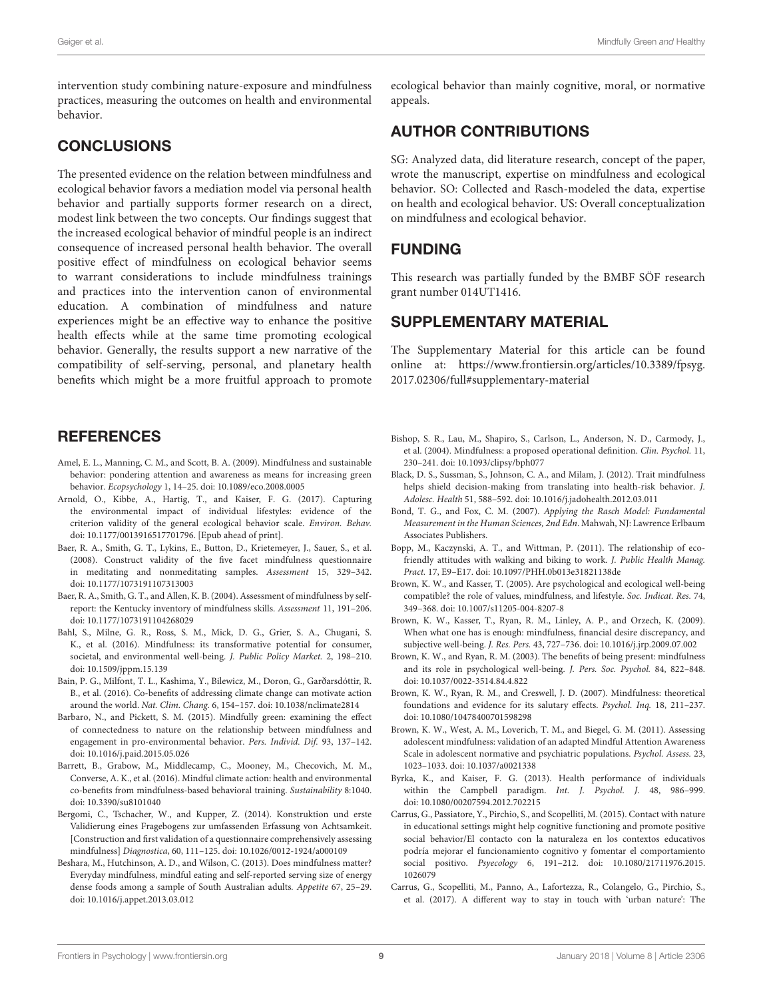intervention study combining nature-exposure and mindfulness practices, measuring the outcomes on health and environmental behavior.

# CONCLUSIONS

The presented evidence on the relation between mindfulness and ecological behavior favors a mediation model via personal health behavior and partially supports former research on a direct, modest link between the two concepts. Our findings suggest that the increased ecological behavior of mindful people is an indirect consequence of increased personal health behavior. The overall positive effect of mindfulness on ecological behavior seems to warrant considerations to include mindfulness trainings and practices into the intervention canon of environmental education. A combination of mindfulness and nature experiences might be an effective way to enhance the positive health effects while at the same time promoting ecological behavior. Generally, the results support a new narrative of the compatibility of self-serving, personal, and planetary health benefits which might be a more fruitful approach to promote

# **REFERENCES**

- <span id="page-8-1"></span>Amel, E. L., Manning, C. M., and Scott, B. A. (2009). Mindfulness and sustainable behavior: pondering attention and awareness as means for increasing green behavior. Ecopsychology 1, 14–25. doi: [10.1089/eco.2008.0005](https://doi.org/10.1089/eco.2008.0005)
- <span id="page-8-18"></span>Arnold, O., Kibbe, A., Hartig, T., and Kaiser, F. G. (2017). Capturing the environmental impact of individual lifestyles: evidence of the criterion validity of the general ecological behavior scale. Environ. Behav. doi: [10.1177/0013916517701796.](https://doi.org/10.1177/0013916517701796) [Epub ahead of print].
- <span id="page-8-4"></span>Baer, R. A., Smith, G. T., Lykins, E., Button, D., Krietemeyer, J., Sauer, S., et al. (2008). Construct validity of the five facet mindfulness questionnaire in meditating and nonmeditating samples. Assessment 15, 329–342. doi: [10.1177/1073191107313003](https://doi.org/10.1177/1073191107313003)
- <span id="page-8-12"></span>Baer, R. A., Smith, G. T., and Allen, K. B. (2004). Assessment of mindfulness by selfreport: the Kentucky inventory of mindfulness skills. Assessment 11, 191–206. doi: [10.1177/1073191104268029](https://doi.org/10.1177/1073191104268029)
- <span id="page-8-11"></span>Bahl, S., Milne, G. R., Ross, S. M., Mick, D. G., Grier, S. A., Chugani, S. K., et al. (2016). Mindfulness: its transformative potential for consumer, societal, and environmental well-being. J. Public Policy Market. 2, 198–210. doi: [10.1509/jppm.15.139](https://doi.org/10.1509/jppm.15.139)
- <span id="page-8-20"></span>Bain, P. G., Milfont, T. L., Kashima, Y., Bilewicz, M., Doron, G., Garðarsdóttir, R. B., et al. (2016). Co-benefits of addressing climate change can motivate action around the world. Nat. Clim. Chang. 6, 154–157. doi: [10.1038/nclimate2814](https://doi.org/10.1038/nclimate2814)
- <span id="page-8-2"></span>Barbaro, N., and Pickett, S. M. (2015). Mindfully green: examining the effect of connectedness to nature on the relationship between mindfulness and engagement in pro-environmental behavior. Pers. Individ. Dif. 93, 137–142. doi: [10.1016/j.paid.2015.05.026](https://doi.org/10.1016/j.paid.2015.05.026)
- <span id="page-8-7"></span>Barrett, B., Grabow, M., Middlecamp, C., Mooney, M., Checovich, M. M., Converse, A. K., et al. (2016). Mindful climate action: health and environmental co-benefits from mindfulness-based behavioral training. Sustainability 8:1040. doi: [10.3390/su8101040](https://doi.org/10.3390/su8101040)
- <span id="page-8-5"></span>Bergomi, C., Tschacher, W., and Kupper, Z. (2014). Konstruktion und erste Validierung eines Fragebogens zur umfassenden Erfassung von Achtsamkeit. [Construction and first validation of a questionnaire comprehensively assessing mindfulness] Diagnostica, 60, 111–125. doi: [10.1026/0012-1924/a000109](https://doi.org/10.1026/0012-1924/a000109)
- <span id="page-8-10"></span>Beshara, M., Hutchinson, A. D., and Wilson, C. (2013). Does mindfulness matter? Everyday mindfulness, mindful eating and self-reported serving size of energy dense foods among a sample of South Australian adults. Appetite 67, 25–29. doi: [10.1016/j.appet.2013.03.012](https://doi.org/10.1016/j.appet.2013.03.012)

ecological behavior than mainly cognitive, moral, or normative appeals.

# AUTHOR CONTRIBUTIONS

SG: Analyzed data, did literature research, concept of the paper, wrote the manuscript, expertise on mindfulness and ecological behavior. SO: Collected and Rasch-modeled the data, expertise on health and ecological behavior. US: Overall conceptualization on mindfulness and ecological behavior.

# FUNDING

This research was partially funded by the BMBF SÖF research grant number 014UT1416.

# SUPPLEMENTARY MATERIAL

The Supplementary Material for this article can be found [online at: https://www.frontiersin.org/articles/10.3389/fpsyg.](https://www.frontiersin.org/articles/10.3389/fpsyg.2017.02306/full#supplementary-material) 2017.02306/full#supplementary-material

- <span id="page-8-3"></span>Bishop, S. R., Lau, M., Shapiro, S., Carlson, L., Anderson, N. D., Carmody, J., et al. (2004). Mindfulness: a proposed operational definition. Clin. Psychol. 11, 230–241. doi: [10.1093/clipsy/bph077](https://doi.org/10.1093/clipsy/bph077)
- <span id="page-8-13"></span>Black, D. S., Sussman, S., Johnson, C. A., and Milam, J. (2012). Trait mindfulness helps shield decision-making from translating into health-risk behavior. J. Adolesc. Health 51, 588–592. doi: [10.1016/j.jadohealth.2012.03.011](https://doi.org/10.1016/j.jadohealth.2012.03.011)
- <span id="page-8-19"></span>Bond, T. G., and Fox, C. M. (2007). Applying the Rasch Model: Fundamental Measurement in the Human Sciences, 2nd Edn. Mahwah, NJ: Lawrence Erlbaum Associates Publishers.
- <span id="page-8-14"></span>Bopp, M., Kaczynski, A. T., and Wittman, P. (2011). The relationship of ecofriendly attitudes with walking and biking to work. J. Public Health Manag. Pract. 17, E9–E17. doi: [10.1097/PHH.0b013e31821138de](https://doi.org/10.1097/PHH.0b013e31821138de)
- <span id="page-8-0"></span>Brown, K. W., and Kasser, T. (2005). Are psychological and ecological well-being compatible? the role of values, mindfulness, and lifestyle. Soc. Indicat. Res. 74, 349–368. doi: [10.1007/s11205-004-8207-8](https://doi.org/10.1007/s11205-004-8207-8)
- <span id="page-8-6"></span>Brown, K. W., Kasser, T., Ryan, R. M., Linley, A. P., and Orzech, K. (2009). When what one has is enough: mindfulness, financial desire discrepancy, and subjective well-being. J. Res. Pers. 43, 727–736. doi: [10.1016/j.jrp.2009.07.002](https://doi.org/10.1016/j.jrp.2009.07.002)
- <span id="page-8-9"></span>Brown, K. W., and Ryan, R. M. (2003). The benefits of being present: mindfulness and its role in psychological well-being. J. Pers. Soc. Psychol. 84, 822–848. doi: [10.1037/0022-3514.84.4.822](https://doi.org/10.1037/0022-3514.84.4.822)
- <span id="page-8-8"></span>Brown, K. W., Ryan, R. M., and Creswell, J. D. (2007). Mindfulness: theoretical foundations and evidence for its salutary effects. Psychol. Inq. 18, 211–237. doi: [10.1080/10478400701598298](https://doi.org/10.1080/10478400701598298)
- <span id="page-8-16"></span>Brown, K. W., West, A. M., Loverich, T. M., and Biegel, G. M. (2011). Assessing adolescent mindfulness: validation of an adapted Mindful Attention Awareness Scale in adolescent normative and psychiatric populations. Psychol. Assess. 23, 1023–1033. doi: [10.1037/a0021338](https://doi.org/10.1037/a0021338)
- <span id="page-8-17"></span>Byrka, K., and Kaiser, F. G. (2013). Health performance of individuals within the Campbell paradigm. Int. J. Psychol. J. 48, 986–999. doi: [10.1080/00207594.2012.702215](https://doi.org/10.1080/00207594.2012.702215)
- <span id="page-8-21"></span>Carrus, G., Passiatore, Y., Pirchio, S., and Scopelliti, M. (2015). Contact with nature in educational settings might help cognitive functioning and promote positive social behavior/El contacto con la naturaleza en los contextos educativos podría mejorar el funcionamiento cognitivo y fomentar el comportamiento social positivo. Psyecology [6, 191–212. doi: 10.1080/21711976.2015.](https://doi.org/10.1080/21711976.2015.1026079) 1026079
- <span id="page-8-15"></span>Carrus, G., Scopelliti, M., Panno, A., Lafortezza, R., Colangelo, G., Pirchio, S., et al. (2017). A different way to stay in touch with 'urban nature': The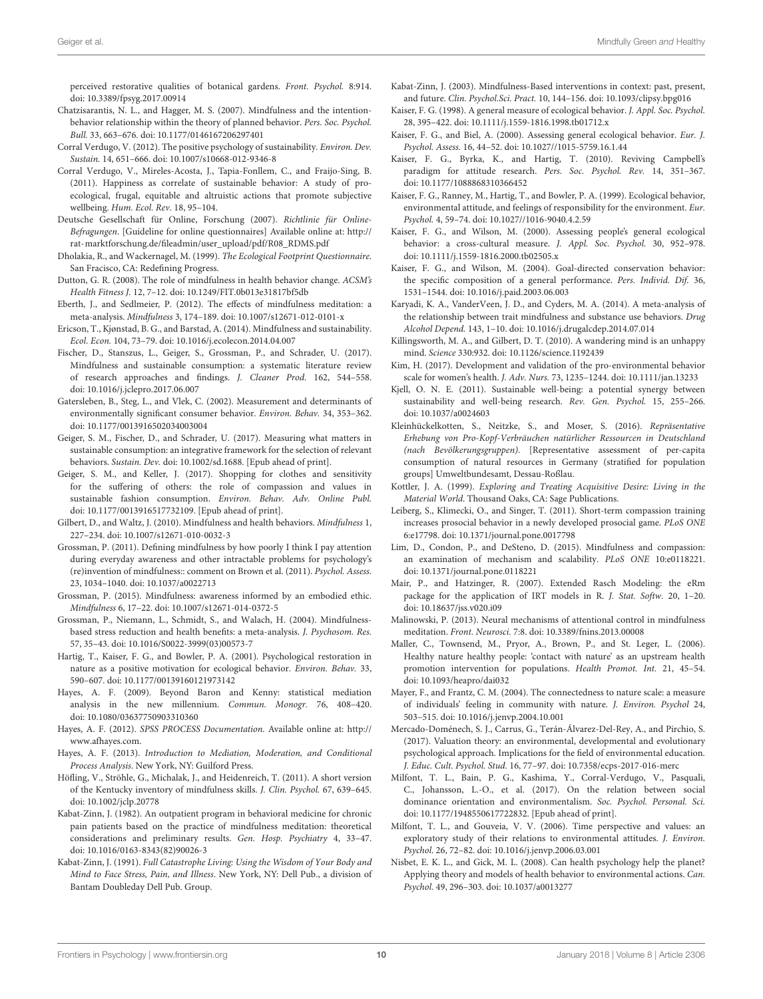perceived restorative qualities of botanical gardens. Front. Psychol. 8:914. doi: [10.3389/fpsyg.2017.00914](https://doi.org/10.3389/fpsyg.2017.00914)

- <span id="page-9-24"></span>Chatzisarantis, N. L., and Hagger, M. S. (2007). Mindfulness and the intentionbehavior relationship within the theory of planned behavior. Pers. Soc. Psychol. Bull. 33, 663–676. doi: [10.1177/0146167206297401](https://doi.org/10.1177/0146167206297401)
- <span id="page-9-29"></span>Corral Verdugo, V. (2012). The positive psychology of sustainability. Environ. Dev. Sustain. 14, 651–666. doi: [10.1007/s10668-012-9346-8](https://doi.org/10.1007/s10668-012-9346-8)
- <span id="page-9-14"></span>Corral Verdugo, V., Mireles-Acosta, J., Tapia-Fonllem, C., and Fraijo-Sing, B. (2011). Happiness as correlate of sustainable behavior: A study of proecological, frugal, equitable and altruistic actions that promote subjective wellbeing. Hum. Ecol. Rev. 18, 95–104.
- <span id="page-9-33"></span>Deutsche Gesellschaft für Online, Forschung (2007). Richtlinie für Online-Befragungen. [Guideline for online questionnaires] Available online at: [http://](http://rat-marktforschung.de/fileadmin/user_upload/pdf/R08_RDMS.pdf) [rat-marktforschung.de/fileadmin/user\\_upload/pdf/R08\\_RDMS.pdf](http://rat-marktforschung.de/fileadmin/user_upload/pdf/R08_RDMS.pdf)
- <span id="page-9-21"></span>Dholakia, R., and Wackernagel, M. (1999). The Ecological Footprint Questionnaire. San Fracisco, CA: Redefining Progress.
- <span id="page-9-25"></span>Dutton, G. R. (2008). The role of mindfulness in health behavior change. ACSM's Health Fitness J. 12, 7–12. doi: [10.1249/FIT.0b013e31817bf5db](https://doi.org/10.1249/FIT.0b013e31817bf5db)
- <span id="page-9-19"></span>Eberth, J., and Sedlmeier, P. (2012). The effects of mindfulness meditation: a meta-analysis. Mindfulness 3, 174–189. doi: [10.1007/s12671-012-0101-x](https://doi.org/10.1007/s12671-012-0101-x)
- <span id="page-9-11"></span>Ericson, T., Kjønstad, B. G., and Barstad, A. (2014). Mindfulness and sustainability. Ecol. Econ. 104, 73–79. doi: [10.1016/j.ecolecon.2014.04.007](https://doi.org/10.1016/j.ecolecon.2014.04.007)
- <span id="page-9-10"></span>Fischer, D., Stanszus, L., Geiger, S., Grossman, P., and Schrader, U. (2017). Mindfulness and sustainable consumption: a systematic literature review of research approaches and findings. J. Cleaner Prod. 162, 544–558. doi: [10.1016/j.jclepro.2017.06.007](https://doi.org/10.1016/j.jclepro.2017.06.007)
- <span id="page-9-7"></span>Gatersleben, B., Steg, L., and Vlek, C. (2002). Measurement and determinants of environmentally significant consumer behavior. Environ. Behav. 34, 353–362. doi: [10.1177/0013916502034003004](https://doi.org/10.1177/0013916502034003004)
- <span id="page-9-8"></span>Geiger, S. M., Fischer, D., and Schrader, U. (2017). Measuring what matters in sustainable consumption: an integrative framework for the selection of relevant behaviors. Sustain. Dev. doi: [10.1002/sd.1688.](https://doi.org/10.1002/sd.1688) [Epub ahead of print].
- <span id="page-9-15"></span>Geiger, S. M., and Keller, J. (2017). Shopping for clothes and sensitivity for the suffering of others: the role of compassion and values in sustainable fashion consumption. Environ. Behav. Adv. Online Publ. doi: [10.1177/0013916517732109.](https://doi.org/10.1177/0013916517732109) [Epub ahead of print].
- <span id="page-9-20"></span>Gilbert, D., and Waltz, J. (2010). Mindfulness and health behaviors. Mindfulness 1, 227–234. doi: [10.1007/s12671-010-0032-3](https://doi.org/10.1007/s12671-010-0032-3)
- <span id="page-9-32"></span>Grossman, P. (2011). Defining mindfulness by how poorly I think I pay attention during everyday awareness and other intractable problems for psychology's (re)invention of mindfulness:: comment on Brown et al. (2011). Psychol. Assess. 23, 1034–1040. doi: [10.1037/a0022713](https://doi.org/10.1037/a0022713)
- <span id="page-9-4"></span>Grossman, P. (2015). Mindfulness: awareness informed by an embodied ethic. Mindfulness 6, 17–22. doi: [10.1007/s12671-014-0372-5](https://doi.org/10.1007/s12671-014-0372-5)
- <span id="page-9-0"></span>Grossman, P., Niemann, L., Schmidt, S., and Walach, H. (2004). Mindfulnessbased stress reduction and health benefits: a meta-analysis. J. Psychosom. Res. 57, 35–43. doi: [10.1016/S0022-3999\(03\)00573-7](https://doi.org/10.1016/S0022-3999(03)00573-7)
- <span id="page-9-31"></span>Hartig, T., Kaiser, F. G., and Bowler, P. A. (2001). Psychological restoration in nature as a positive motivation for ecological behavior. Environ. Behav. 33, 590–607. doi: [10.1177/00139160121973142](https://doi.org/10.1177/00139160121973142)
- <span id="page-9-40"></span>Hayes, A. F. (2009). Beyond Baron and Kenny: statistical mediation analysis in the new millennium. Commun. Monogr. 76, 408–420. doi: [10.1080/03637750903310360](https://doi.org/10.1080/03637750903310360)
- <span id="page-9-41"></span>Hayes, A. F. (2012). SPSS PROCESS Documentation. Available online at: [http://](http://www.afhayes.com) [www.afhayes.com.](http://www.afhayes.com)
- <span id="page-9-42"></span>Hayes, A. F. (2013). Introduction to Mediation, Moderation, and Conditional Process Analysis. New York, NY: Guilford Press.
- <span id="page-9-34"></span>Höfling, V., Ströhle, G., Michalak, J., and Heidenreich, T. (2011). A short version of the Kentucky inventory of mindfulness skills. J. Clin. Psychol. 67, 639–645. doi: [10.1002/jclp.20778](https://doi.org/10.1002/jclp.20778)
- <span id="page-9-18"></span>Kabat-Zinn, J. (1982). An outpatient program in behavioral medicine for chronic pain patients based on the practice of mindfulness meditation: theoretical considerations and preliminary results. Gen. Hosp. Psychiatry 4, 33–47. doi: [10.1016/0163-8343\(82\)90026-3](https://doi.org/10.1016/0163-8343(82)90026-3)
- <span id="page-9-3"></span>Kabat-Zinn, J. (1991). Full Catastrophe Living: Using the Wisdom of Your Body and Mind to Face Stress, Pain, and Illness. New York, NY: Dell Pub., a division of Bantam Doubleday Dell Pub. Group.
- <span id="page-9-5"></span>Kabat-Zinn, J. (2003). Mindfulness-Based interventions in context: past, present, and future. Clin. Psychol.Sci. Pract. 10, 144–156. doi: [10.1093/clipsy.bpg016](https://doi.org/10.1093/clipsy.bpg016)
- <span id="page-9-6"></span>Kaiser, F. G. (1998). A general measure of ecological behavior. J. Appl. Soc. Psychol. 28, 395–422. doi: [10.1111/j.1559-1816.1998.tb01712.x](https://doi.org/10.1111/j.1559-1816.1998.tb01712.x)
- <span id="page-9-38"></span>Kaiser, F. G., and Biel, A. (2000). Assessing general ecological behavior. Eur. J. Psychol. Assess. 16, 44–52. doi: [10.1027//1015-5759.16.1.44](https://doi.org/10.1027//1015-5759.16.1.44)
- <span id="page-9-35"></span>Kaiser, F. G., Byrka, K., and Hartig, T. (2010). Reviving Campbell's paradigm for attitude research. Pers. Soc. Psychol. Rev. 14, 351–367. doi: [10.1177/1088868310366452](https://doi.org/10.1177/1088868310366452)
- <span id="page-9-37"></span>Kaiser, F. G., Ranney, M., Hartig, T., and Bowler, P. A. (1999). Ecological behavior, environmental attitude, and feelings of responsibility for the environment. Eur. Psychol. 4, 59–74. doi: [10.1027//1016-9040.4.2.59](https://doi.org/10.1027//1016-9040.4.2.59)
- <span id="page-9-36"></span>Kaiser, F. G., and Wilson, M. (2000). Assessing people's general ecological behavior: a cross-cultural measure. J. Appl. Soc. Psychol. 30, 952–978. doi: [10.1111/j.1559-1816.2000.tb02505.x](https://doi.org/10.1111/j.1559-1816.2000.tb02505.x)
- <span id="page-9-22"></span>Kaiser, F. G., and Wilson, M. (2004). Goal-directed conservation behavior: the specific composition of a general performance. Pers. Individ. Dif. 36, 1531–1544. doi: [10.1016/j.paid.2003.06.003](https://doi.org/10.1016/j.paid.2003.06.003)
- <span id="page-9-23"></span>Karyadi, K. A., VanderVeen, J. D., and Cyders, M. A. (2014). A meta-analysis of the relationship between trait mindfulness and substance use behaviors. Drug Alcohol Depend. 143, 1–10. doi: [10.1016/j.drugalcdep.2014.07.014](https://doi.org/10.1016/j.drugalcdep.2014.07.014)
- <span id="page-9-2"></span>Killingsworth, M. A., and Gilbert, D. T. (2010). A wandering mind is an unhappy mind. Science 330:932. doi: [10.1126/science.1192439](https://doi.org/10.1126/science.1192439)
- <span id="page-9-27"></span>Kim, H. (2017). Development and validation of the pro-environmental behavior scale for women's health. J. Adv. Nurs. 73, 1235–1244. doi: [10.1111/jan.13233](https://doi.org/10.1111/jan.13233)
- <span id="page-9-28"></span>Kjell, O. N. E. (2011). Sustainable well-being: a potential synergy between sustainability and well-being research. Rev. Gen. Psychol. 15, 255–266. doi: [10.1037/a0024603](https://doi.org/10.1037/a0024603)
- <span id="page-9-44"></span>Kleinhückelkotten, S., Neitzke, S., and Moser, S. (2016). Repräsentative Erhebung von Pro-Kopf-Verbräuchen natürlicher Ressourcen in Deutschland (nach Bevölkerungsgruppen). [Representative assessment of per-capita consumption of natural resources in Germany (stratified for population groups] Umweltbundesamt, Dessau-Roßlau.
- <span id="page-9-9"></span>Kottler, J. A. (1999). Exploring and Treating Acquisitive Desire: Living in the Material World. Thousand Oaks, CA: Sage Publications.
- <span id="page-9-12"></span>Leiberg, S., Klimecki, O., and Singer, T. (2011). Short-term compassion training increases prosocial behavior in a newly developed prosocial game. PLoS ONE 6:e17798. doi: [10.1371/journal.pone.0017798](https://doi.org/10.1371/journal.pone.0017798)
- <span id="page-9-13"></span>Lim, D., Condon, P., and DeSteno, D. (2015). Mindfulness and compassion: an examination of mechanism and scalability. PLoS ONE 10:e0118221. doi: [10.1371/journal.pone.0118221](https://doi.org/10.1371/journal.pone.0118221)
- <span id="page-9-39"></span>Mair, P., and Hatzinger, R. (2007). Extended Rasch Modeling: the eRm package for the application of IRT models in R. J. Stat. Softw. 20, 1–20. doi: [10.18637/jss.v020.i09](https://doi.org/10.18637/jss.v020.i09)
- <span id="page-9-1"></span>Malinowski, P. (2013). Neural mechanisms of attentional control in mindfulness meditation. Front. Neurosci. 7:8. doi: [10.3389/fnins.2013.00008](https://doi.org/10.3389/fnins.2013.00008)
- <span id="page-9-30"></span>Maller, C., Townsend, M., Pryor, A., Brown, P., and St. Leger, L. (2006). Healthy nature healthy people: 'contact with nature' as an upstream health promotion intervention for populations. Health Promot. Int. 21, 45–54. doi: [10.1093/heapro/dai032](https://doi.org/10.1093/heapro/dai032)
- <span id="page-9-17"></span>Mayer, F., and Frantz, C. M. (2004). The connectedness to nature scale: a measure of individuals' feeling in community with nature. J. Environ. Psychol 24, 503–515. doi: [10.1016/j.jenvp.2004.10.001](https://doi.org/10.1016/j.jenvp.2004.10.001)
- <span id="page-9-45"></span>Mercado-Doménech, S. J., Carrus, G., Terán-Álvarez-Del-Rey, A., and Pirchio, S. (2017). Valuation theory: an environmental, developmental and evolutionary psychological approach. Implications for the field of environmental education. J. Educ. Cult. Psychol. Stud. 16, 77–97. doi: [10.7358/ecps-2017-016-merc](https://doi.org/10.7358/ecps-2017-016-merc)
- <span id="page-9-16"></span>Milfont, T. L., Bain, P. G., Kashima, Y., Corral-Verdugo, V., Pasquali, C., Johansson, L.-O., et al. (2017). On the relation between social dominance orientation and environmentalism. Soc. Psychol. Personal. Sci. doi: [10.1177/1948550617722832.](https://doi.org/10.1177/1948550617722832) [Epub ahead of print].
- <span id="page-9-43"></span>Milfont, T. L., and Gouveia, V. V. (2006). Time perspective and values: an exploratory study of their relations to environmental attitudes. J. Environ. Psychol. 26, 72–82. doi: [10.1016/j.jenvp.2006.03.001](https://doi.org/10.1016/j.jenvp.2006.03.001)
- <span id="page-9-26"></span>Nisbet, E. K. L., and Gick, M. L. (2008). Can health psychology help the planet? Applying theory and models of health behavior to environmental actions. Can. Psychol. 49, 296–303. doi: [10.1037/a0013277](https://doi.org/10.1037/a0013277)